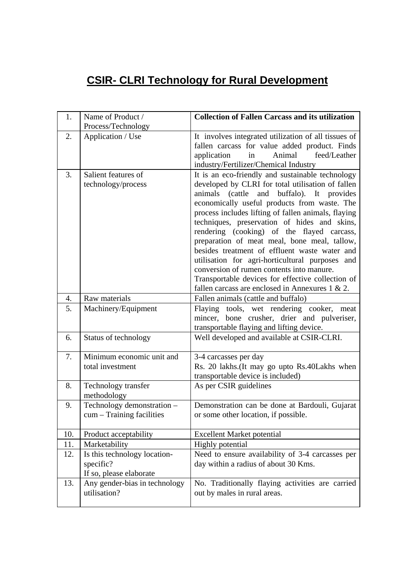## **CSIR- CLRI Technology for Rural Development**

| 1.  | Name of Product /<br>Process/Technology                              | <b>Collection of Fallen Carcass and its utilization</b>                                                                                                                                                                                                                                                                                                                                                                                                                                                                                                                                                                                                             |
|-----|----------------------------------------------------------------------|---------------------------------------------------------------------------------------------------------------------------------------------------------------------------------------------------------------------------------------------------------------------------------------------------------------------------------------------------------------------------------------------------------------------------------------------------------------------------------------------------------------------------------------------------------------------------------------------------------------------------------------------------------------------|
| 2.  | Application / Use                                                    | It involves integrated utilization of all tissues of<br>fallen carcass for value added product. Finds<br>feed/Leather<br>application<br>Animal<br>in<br>industry/Fertilizer/Chemical Industry                                                                                                                                                                                                                                                                                                                                                                                                                                                                       |
| 3.  | Salient features of<br>technology/process                            | It is an eco-friendly and sustainable technology<br>developed by CLRI for total utilisation of fallen<br>animals (cattle and buffalo). It provides<br>economically useful products from waste. The<br>process includes lifting of fallen animals, flaying<br>techniques, preservation of hides and skins,<br>rendering (cooking) of the flayed carcass,<br>preparation of meat meal, bone meal, tallow,<br>besides treatment of effluent waste water and<br>utilisation for agri-horticultural purposes and<br>conversion of rumen contents into manure.<br>Transportable devices for effective collection of<br>fallen carcass are enclosed in Annexures $1 & 2$ . |
| 4.  | Raw materials                                                        | Fallen animals (cattle and buffalo)                                                                                                                                                                                                                                                                                                                                                                                                                                                                                                                                                                                                                                 |
| 5.  | Machinery/Equipment                                                  | Flaying tools, wet rendering cooker, meat<br>mincer, bone crusher, drier and pulveriser,<br>transportable flaying and lifting device.                                                                                                                                                                                                                                                                                                                                                                                                                                                                                                                               |
| 6.  | Status of technology                                                 | Well developed and available at CSIR-CLRI.                                                                                                                                                                                                                                                                                                                                                                                                                                                                                                                                                                                                                          |
| 7.  | Minimum economic unit and<br>total investment                        | 3-4 carcasses per day<br>Rs. 20 lakhs. (It may go upto Rs. 40 Lakhs when<br>transportable device is included)                                                                                                                                                                                                                                                                                                                                                                                                                                                                                                                                                       |
| 8.  | Technology transfer<br>methodology                                   | As per CSIR guidelines                                                                                                                                                                                                                                                                                                                                                                                                                                                                                                                                                                                                                                              |
| 9.  | Technology demonstration -<br>cum - Training facilities              | Demonstration can be done at Bardouli, Gujarat<br>or some other location, if possible.                                                                                                                                                                                                                                                                                                                                                                                                                                                                                                                                                                              |
| 10. | Product acceptability                                                | <b>Excellent Market potential</b>                                                                                                                                                                                                                                                                                                                                                                                                                                                                                                                                                                                                                                   |
| 11. | Marketability                                                        | Highly potential                                                                                                                                                                                                                                                                                                                                                                                                                                                                                                                                                                                                                                                    |
| 12. | Is this technology location-<br>specific?<br>If so, please elaborate | Need to ensure availability of 3-4 carcasses per<br>day within a radius of about 30 Kms.                                                                                                                                                                                                                                                                                                                                                                                                                                                                                                                                                                            |
| 13. | Any gender-bias in technology<br>utilisation?                        | No. Traditionally flaying activities are carried<br>out by males in rural areas.                                                                                                                                                                                                                                                                                                                                                                                                                                                                                                                                                                                    |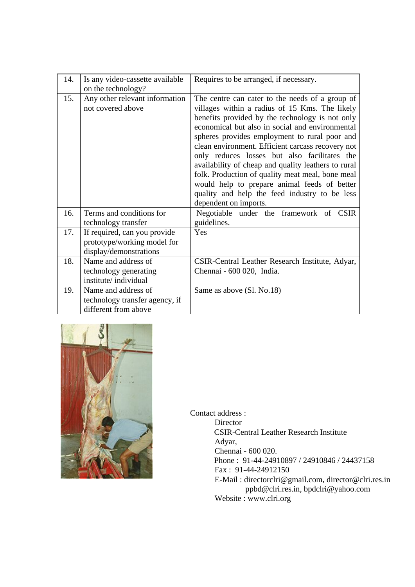| 14. | Is any video-cassette available                                                       | Requires to be arranged, if necessary.                                                                                                                                                                                                                                                                                                                                                                                                                                                                                                                                                             |
|-----|---------------------------------------------------------------------------------------|----------------------------------------------------------------------------------------------------------------------------------------------------------------------------------------------------------------------------------------------------------------------------------------------------------------------------------------------------------------------------------------------------------------------------------------------------------------------------------------------------------------------------------------------------------------------------------------------------|
|     | on the technology?                                                                    |                                                                                                                                                                                                                                                                                                                                                                                                                                                                                                                                                                                                    |
| 15. | Any other relevant information<br>not covered above                                   | The centre can cater to the needs of a group of<br>villages within a radius of 15 Kms. The likely<br>benefits provided by the technology is not only<br>economical but also in social and environmental<br>spheres provides employment to rural poor and<br>clean environment. Efficient carcass recovery not<br>only reduces losses but also facilitates the<br>availability of cheap and quality leathers to rural<br>folk. Production of quality meat meal, bone meal<br>would help to prepare animal feeds of better<br>quality and help the feed industry to be less<br>dependent on imports. |
| 16. | Terms and conditions for<br>technology transfer                                       | Negotiable under the framework of CSIR<br>guidelines.                                                                                                                                                                                                                                                                                                                                                                                                                                                                                                                                              |
| 17. | If required, can you provide<br>prototype/working model for<br>display/demonstrations | Yes                                                                                                                                                                                                                                                                                                                                                                                                                                                                                                                                                                                                |
| 18. | Name and address of<br>technology generating<br>institute/individual                  | CSIR-Central Leather Research Institute, Adyar,<br>Chennai - 600 020, India.                                                                                                                                                                                                                                                                                                                                                                                                                                                                                                                       |
| 19. | Name and address of<br>technology transfer agency, if<br>different from above         | Same as above (Sl. No.18)                                                                                                                                                                                                                                                                                                                                                                                                                                                                                                                                                                          |



Contact address :

 Director CSIR-Central Leather Research Institute Adyar, Chennai - 600 020. Phone : 91-44-24910897 / 24910846 / 24437158 Fax : 91-44-24912150 E-Mail : directorclri@gmail.com, director@clri.res.in ppbd@clri.res.in, bpdclri@yahoo.com Website : www.clri.org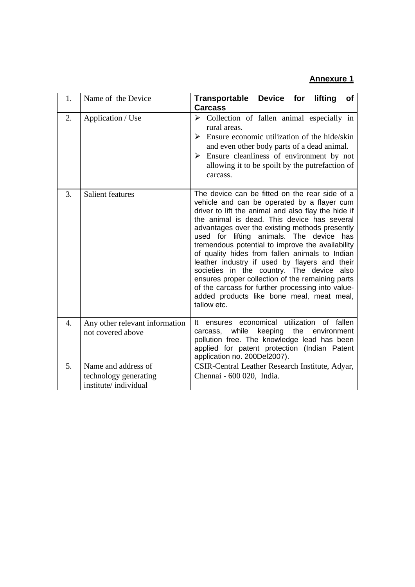## **Annexure 1**

| 1.               | Name of the Device                                                   | Transportable Device for lifting<br>of<br>Carcass                                                                                                                                                                                                                                                                                                                                                                                                                                                                                                                                                                                                                             |
|------------------|----------------------------------------------------------------------|-------------------------------------------------------------------------------------------------------------------------------------------------------------------------------------------------------------------------------------------------------------------------------------------------------------------------------------------------------------------------------------------------------------------------------------------------------------------------------------------------------------------------------------------------------------------------------------------------------------------------------------------------------------------------------|
| 2.               | Application / Use                                                    | $\triangleright$ Collection of fallen animal especially in<br>rural areas.<br>Ensure economic utilization of the hide/skin<br>⋗<br>and even other body parts of a dead animal.<br>$\triangleright$ Ensure cleanliness of environment by not<br>allowing it to be spoilt by the putrefaction of<br>carcass.                                                                                                                                                                                                                                                                                                                                                                    |
| 3.               | <b>Salient features</b>                                              | The device can be fitted on the rear side of a<br>vehicle and can be operated by a flayer cum<br>driver to lift the animal and also flay the hide if<br>the animal is dead. This device has several<br>advantages over the existing methods presently<br>used for lifting animals. The device<br>has<br>tremendous potential to improve the availability<br>of quality hides from fallen animals to Indian<br>leather industry if used by flayers and their<br>societies in the country. The device also<br>ensures proper collection of the remaining parts<br>of the carcass for further processing into value-<br>added products like bone meal, meat meal,<br>tallow etc. |
| $\overline{4}$ . | Any other relevant information<br>not covered above                  | economical utilization of fallen<br>It ensures<br>while<br>keeping<br>the<br>environment<br>carcass,<br>pollution free. The knowledge lead has been<br>applied for patent protection (Indian Patent<br>application no. 200Del2007).                                                                                                                                                                                                                                                                                                                                                                                                                                           |
| 5 <sub>1</sub>   | Name and address of<br>technology generating<br>institute/individual | CSIR-Central Leather Research Institute, Adyar,<br>Chennai - 600 020, India.                                                                                                                                                                                                                                                                                                                                                                                                                                                                                                                                                                                                  |